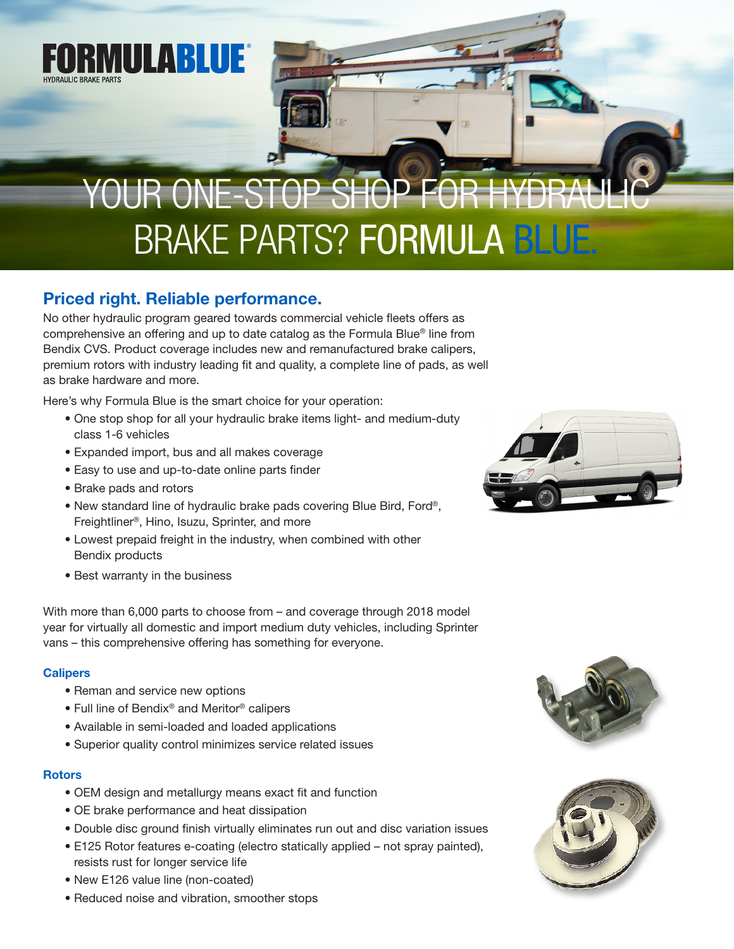

# YOUR ONE-STOP SHOP FOR HYDR BRAKE PARTS? FORMULA BLUE.

## Priced right. Reliable performance.

No other hydraulic program geared towards commercial vehicle fleets offers as comprehensive an offering and up to date catalog as the Formula Blue® line from Bendix CVS. Product coverage includes new and remanufactured brake calipers, premium rotors with industry leading fit and quality, a complete line of pads, as well as brake hardware and more.

Here's why Formula Blue is the smart choice for your operation:

- One stop shop for all your hydraulic brake items light- and medium-duty class 1-6 vehicles
- Expanded import, bus and all makes coverage
- Easy to use and up-to-date online parts finder
- Brake pads and rotors
- New standard line of hydraulic brake pads covering Blue Bird, Ford®, Freightliner®, Hino, Isuzu, Sprinter, and more
- Lowest prepaid freight in the industry, when combined with other Bendix products
- Best warranty in the business

With more than 6,000 parts to choose from – and coverage through 2018 model year for virtually all domestic and import medium duty vehicles, including Sprinter vans – this comprehensive offering has something for everyone.

### **Calipers**

- Reman and service new options
- Full line of Bendix® and Meritor® calipers
- Available in semi-loaded and loaded applications
- Superior quality control minimizes service related issues

#### **Rotors**

- OEM design and metallurgy means exact fit and function
- OE brake performance and heat dissipation
- Double disc ground finish virtually eliminates run out and disc variation issues
- E125 Rotor features e-coating (electro statically applied not spray painted), resists rust for longer service life
- New E126 value line (non-coated)
- Reduced noise and vibration, smoother stops





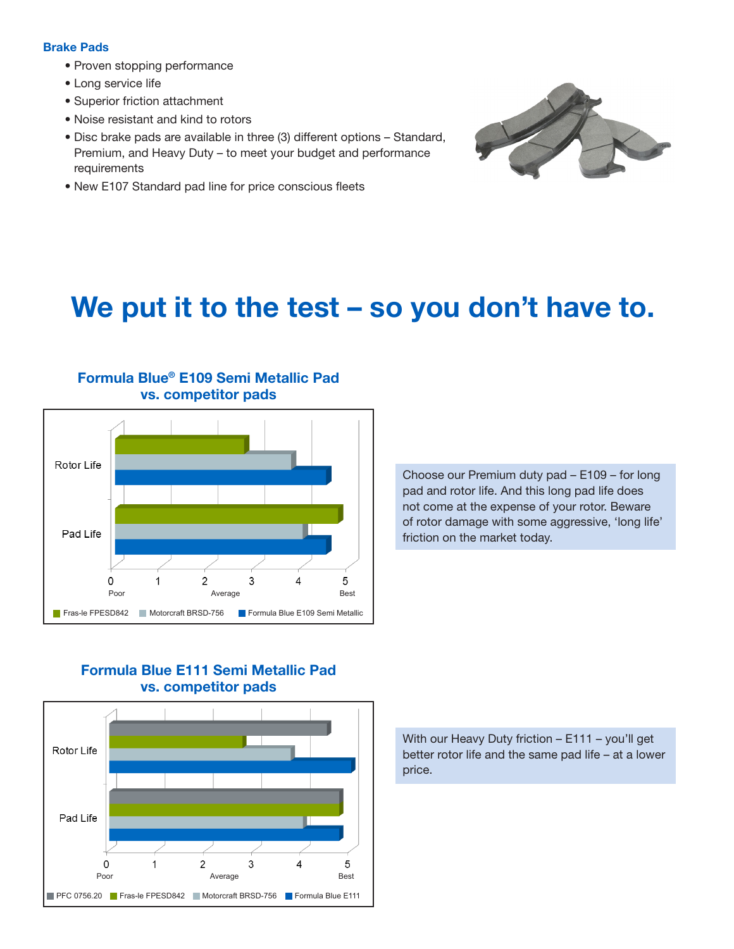#### Brake Pads

- Proven stopping performance
- Long service life
- Superior friction attachment
- Noise resistant and kind to rotors
- Disc brake pads are available in three (3) different options Standard, Premium, and Heavy Duty – to meet your budget and performance requirements
- New E107 Standard pad line for price conscious fleets



# We put it to the test – so you don't have to.



Formula Blue® E109 Semi Metallic Pad vs. competitor pads

> Choose our Premium duty pad – E109 – for long pad and rotor life. And this long pad life does not come at the expense of your rotor. Beware of rotor damage with some aggressive, 'long life' friction on the market today.

### Formula Blue E111 Semi Metallic Pad vs. competitor pads



With our Heavy Duty friction – E111 – you'll get better rotor life and the same pad life – at a lower price.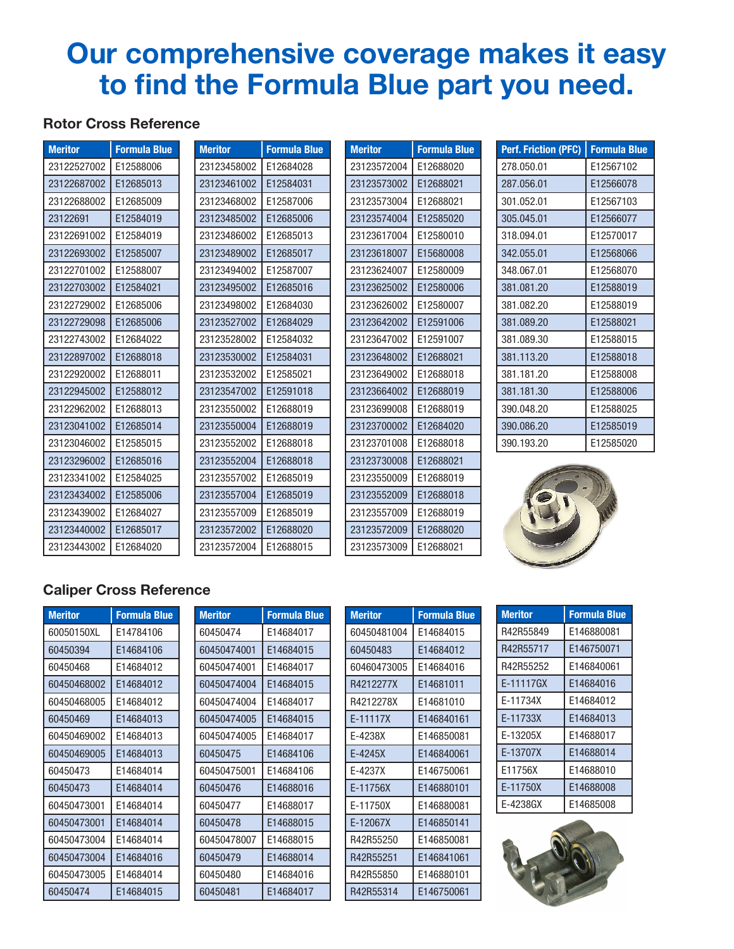# Our comprehensive coverage makes it easy to find the Formula Blue part you need.

### Rotor Cross Reference

| <b>Meritor</b> | <b>Formula Blue</b> |  |
|----------------|---------------------|--|
| 23122527002    | E12588006           |  |
| 23122687002    | E12685013           |  |
| 23122688002    | E12685009           |  |
| 23122691       | E12584019           |  |
| 23122691002    | E12584019           |  |
| 23122693002    | E12585007           |  |
| 23122701002    | E12588007           |  |
| 23122703002    | E12584021           |  |
| 23122729002    | E12685006           |  |
| 23122729098    | E12685006           |  |
| 23122743002    | E12684022           |  |
| 23122897002    | E12688018           |  |
| 23122920002    | E12688011           |  |
| 23122945002    | E12588012           |  |
| 23122962002    | E12688013           |  |
| 23123041002    | E12685014           |  |
| 23123046002    | E12585015           |  |
| 23123296002    | E12685016           |  |
| 23123341002    | E12584025           |  |
| 23123434002    | E12585006           |  |
| 23123439002    | E12684027           |  |
| 23123440002    | E12685017           |  |
| 23123443002    | E12684020           |  |

| <b>Meritor</b> | <b>Formula Blue</b> |  |
|----------------|---------------------|--|
| 23123458002    | E12684028           |  |
| 23123461002    | E12584031           |  |
| 23123468002    | E12587006           |  |
| 23123485002    | E12685006           |  |
| 23123486002    | E12685013           |  |
| 23123489002    | E12685017           |  |
| 23123494002    | E12587007           |  |
| 23123495002    | E12685016           |  |
| 23123498002    | E12684030           |  |
| 23123527002    | E12684029           |  |
| 23123528002    | E12584032           |  |
| 23123530002    | E12584031           |  |
| 23123532002    | E12585021           |  |
| 23123547002    | E12591018           |  |
| 23123550002    | E12688019           |  |
| 23123550004    | E12688019           |  |
| 23123552002    | E12688018           |  |
| 23123552004    | E12688018           |  |
| 23123557002    | E12685019           |  |
| 23123557004    | E12685019           |  |
| 23123557009    | E12685019           |  |
| 23123572002    | E12688020           |  |
| 23123572004    | E12688015           |  |

| <b>Formula Blue</b> |
|---------------------|
| E12688020           |
| E12688021           |
| E12688021           |
| E12585020           |
| E12580010           |
| E15680008           |
| E12580009           |
| E12580006           |
| E12580007           |
| E12591006           |
| E12591007           |
| E12688021           |
| E12688018           |
| E12688019           |
| E12688019           |
| E12684020           |
| E12688018           |
| E12688021           |
| E12688019           |
| E12688018           |
| E12688019           |
| E12688020           |
| E12688021           |
|                     |

| <b>Perf. Friction (PFC)</b> | <b>Formula Blue</b> |  |
|-----------------------------|---------------------|--|
| 278.050.01                  | E12567102           |  |
| 287.056.01                  | E12566078           |  |
| 301.052.01                  | E12567103           |  |
| 305.045.01                  | E12566077           |  |
| 318.094.01                  | E12570017           |  |
| 342.055.01                  | E12568066           |  |
| 348.067.01                  | E12568070           |  |
| 381.081.20                  | E12588019           |  |
| 381.082.20                  | E12588019           |  |
| 381.089.20                  | E12588021           |  |
| 381.089.30                  | E12588015           |  |
| 381.113.20                  | E12588018           |  |
| 381.181.20                  | F12588008           |  |
| 381.181.30                  | E12588006           |  |
| 390.048.20                  | E12588025           |  |
| 390.086.20                  | E12585019           |  |
| 390.193.20                  | E12585020           |  |



### Caliper Cross Reference

| <b>Meritor</b> | <b>Formula Blue</b> |
|----------------|---------------------|
| 60050150XL     | F14784106           |
| 60450394       | F14684106           |
| 60450468       | E14684012           |
| 60450468002    | F14684012           |
| 60450468005    | F14684012           |
| 60450469       | F14684013           |
| 60450469002    | F14684013           |
| 60450469005    | F14684013           |
| 60450473       | F14684014           |
| 60450473       | F14684014           |
| 60450473001    | F14684014           |
| 60450473001    | F14684014           |
| 60450473004    | F14684014           |
| 60450473004    | F14684016           |
| 60450473005    | F14684014           |
| 60450474       | E14684015           |

| <b>Meritor</b> | <b>Formula Blue</b> |
|----------------|---------------------|
|                |                     |
| 60450474       | F14684017           |
| 60450474001    | F14684015           |
| 60450474001    | F14684017           |
| 60450474004    | F14684015           |
| 60450474004    | F14684017           |
| 60450474005    | F14684015           |
| 60450474005    | F14684017           |
| 60450475       | F14684106           |
| 60450475001    | F14684106           |
| 60450476       | E14688016           |
| 60450477       | F14688017           |
| 60450478       | E14688015           |
| 60450478007    | E14688015           |
| 60450479       | F14688014           |
| 60450480       | E14684016           |
| 60450481       | F14684017           |

| <b>Meritor</b> | <b>Formula Blue</b> |
|----------------|---------------------|
| 60450481004    | E14684015           |
| 60450483       | E14684012           |
| 60460473005    | E14684016           |
| R4212277X      | E14681011           |
| R4212278X      | E14681010           |
| F-11117X       | E146840161          |
| E-4238X        | E146850081          |
| F-4245X        | E146840061          |
| E-4237X        | E146750061          |
| E-11756X       | E146880101          |
| E-11750X       | E146880081          |
| E-12067X       | E146850141          |
| R42R55250      | E146850081          |
| R42R55251      | E146841061          |
| R42R55850      | E146880101          |
| R42R55314      | E146750061          |

| <b>Meritor</b> | <b>Formula Blue</b> |
|----------------|---------------------|
| R42R55849      | E146880081          |
| R42R55717      | E146750071          |
| R42R55252      | E146840061          |
| E-11117GX      | E14684016           |
| F-11734X       | E14684012           |
| F-11733X       | F14684013           |
| F-13205X       | E14688017           |
| F-13707X       | E14688014           |
| F11756X        | E14688010           |
| F-11750X       | E14688008           |
| F-4238GX       | E14685008           |